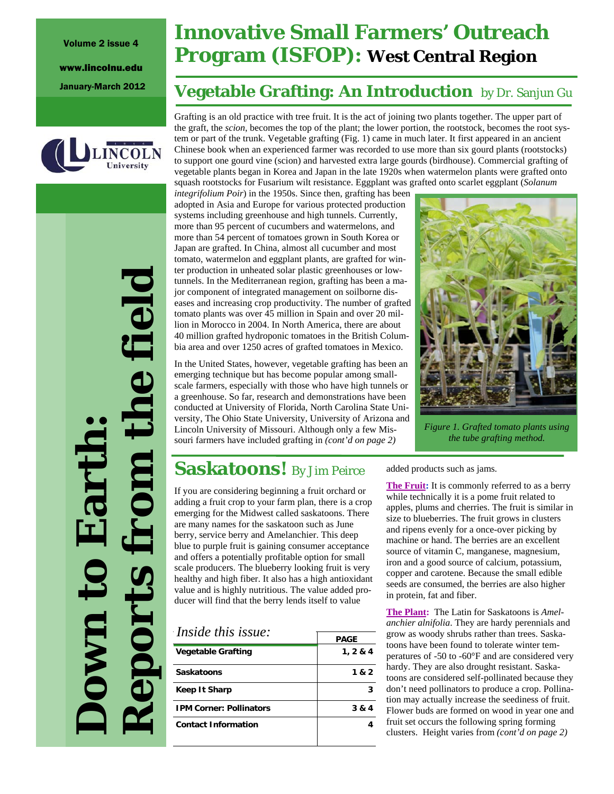#### Volume 2 issue 4

www.lincolnu.edu



*Reports from the field*  the field **Down to Earth:**  Earth eports **NWD** 

# **Innovative Small Farmers' Outreach Program (ISFOP): West Central Region**

# January-March 2012 **Vegetable Grafting: An Introduction** by Dr. Sanjun Gu

Grafting is an old practice with tree fruit. It is the act of joining two plants together. The upper part of the graft, the *scion*, becomes the top of the plant; the lower portion, the rootstock, becomes the root system or part of the trunk. Vegetable grafting (Fig. 1) came in much later. It first appeared in an ancient Chinese book when an experienced farmer was recorded to use more than six gourd plants (rootstocks) to support one gourd vine (scion) and harvested extra large gourds (birdhouse). Commercial grafting of vegetable plants began in Korea and Japan in the late 1920s when watermelon plants were grafted onto squash rootstocks for Fusarium wilt resistance. Eggplant was grafted onto scarlet eggplant (*Solanum* 

*integrifolium Poir*) in the 1950s. Since then, grafting has been adopted in Asia and Europe for various protected production systems including greenhouse and high tunnels. Currently, more than 95 percent of cucumbers and watermelons, and more than 54 percent of tomatoes grown in South Korea or Japan are grafted. In China, almost all cucumber and most tomato, watermelon and eggplant plants, are grafted for winter production in unheated solar plastic greenhouses or lowtunnels. In the Mediterranean region, grafting has been a major component of integrated management on soilborne diseases and increasing crop productivity. The number of grafted tomato plants was over 45 million in Spain and over 20 million in Morocco in 2004. In North America, there are about 40 million grafted hydroponic tomatoes in the British Columbia area and over 1250 acres of grafted tomatoes in Mexico.

In the United States, however, vegetable grafting has been an emerging technique but has become popular among smallscale farmers, especially with those who have high tunnels or a greenhouse. So far, research and demonstrations have been conducted at University of Florida, North Carolina State University, The Ohio State University, University of Arizona and Lincoln University of Missouri. Although only a few Missouri farmers have included grafting in *(cont'd on page 2)* 



*Figure 1. Grafted tomato plants using the tube grafting method.* 

# **Saskatoons!** By Jim Peirce

If you are considering beginning a fruit orchard or adding a fruit crop to your farm plan, there is a crop emerging for the Midwest called saskatoons. There are many names for the saskatoon such as June berry, service berry and Amelanchier. This deep blue to purple fruit is gaining consumer acceptance and offers a potentially profitable option for small scale producers. The blueberry looking fruit is very healthy and high fiber. It also has a high antioxidant value and is highly nutritious. The value added producer will find that the berry lends itself to value

| <i>Inside this issue:</i>      |             |  |  |
|--------------------------------|-------------|--|--|
|                                | <b>PAGE</b> |  |  |
| <b>Vegetable Grafting</b>      | 1, 2 & 4    |  |  |
| <b>Saskatoons</b>              | 1 & 2       |  |  |
| Keep It Sharp                  |             |  |  |
| <b>IPM Corner: Pollinators</b> | 3 & 4       |  |  |
| <b>Contact Information</b>     |             |  |  |
|                                |             |  |  |

added products such as jams.

**The Fruit:** It is commonly referred to as a berry while technically it is a pome fruit related to apples, plums and cherries. The fruit is similar in size to blueberries. The fruit grows in clusters and ripens evenly for a once-over picking by machine or hand. The berries are an excellent source of vitamin C, manganese, magnesium, iron and a good source of calcium, potassium, copper and carotene. Because the small edible seeds are consumed, the berries are also higher in protein, fat and fiber.

**The Plant:** The Latin for Saskatoons is *Amelanchier alnifolia*. They are hardy perennials and grow as woody shrubs rather than trees. Saskatoons have been found to tolerate winter temperatures of -50 to -60°F and are considered very hardy. They are also drought resistant. Saskatoons are considered self-pollinated because they don't need pollinators to produce a crop. Pollination may actually increase the seediness of fruit. Flower buds are formed on wood in year one and fruit set occurs the following spring forming clusters. Height varies from *(cont'd on page 2)*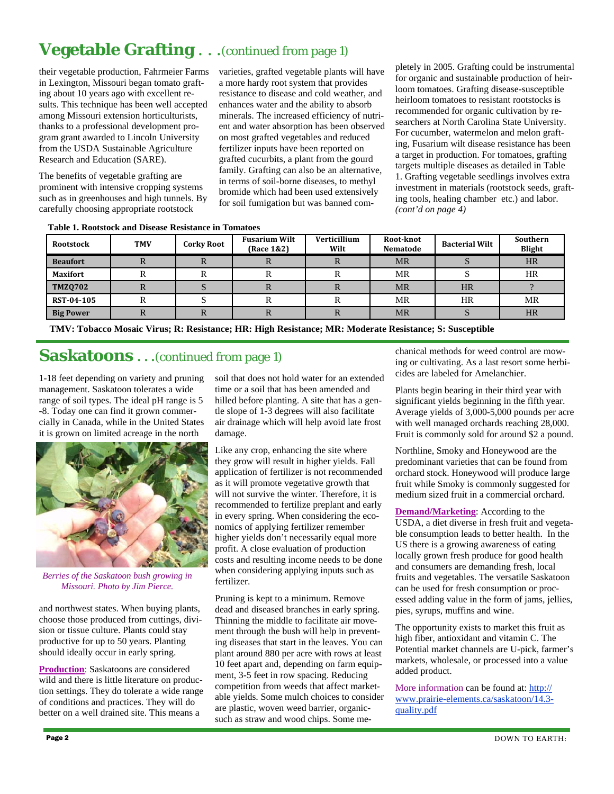# **Vegetable Grafting** . . .(continued from page 1)

their vegetable production, Fahrmeier Farms in Lexington, Missouri began tomato grafting about 10 years ago with excellent results. This technique has been well accepted among Missouri extension horticulturists, thanks to a professional development program grant awarded to Lincoln University from the USDA Sustainable Agriculture Research and Education (SARE).

The benefits of vegetable grafting are prominent with intensive cropping systems such as in greenhouses and high tunnels. By carefully choosing appropriate rootstock

varieties, grafted vegetable plants will have a more hardy root system that provides resistance to disease and cold weather, and enhances water and the ability to absorb minerals. The increased efficiency of nutrient and water absorption has been observed on most grafted vegetables and reduced fertilizer inputs have been reported on grafted cucurbits, a plant from the gourd family. Grafting can also be an alternative, in terms of soil-borne diseases, to methyl bromide which had been used extensively for soil fumigation but was banned completely in 2005. Grafting could be instrumental for organic and sustainable production of heirloom tomatoes. Grafting disease-susceptible heirloom tomatoes to resistant rootstocks is recommended for organic cultivation by researchers at North Carolina State University. For cucumber, watermelon and melon grafting, Fusarium wilt disease resistance has been a target in production. For tomatoes, grafting targets multiple diseases as detailed in Table 1. Grafting vegetable seedlings involves extra investment in materials (rootstock seeds, grafting tools, healing chamber etc.) and labor. *(cont'd on page 4)* 

**Table 1. Rootstock and Disease Resistance in Tomatoes** 

| <b>Rootstock</b>  | <b>TMV</b> | <b>Corky Root</b> | <b>Fusarium Wilt</b><br>(Race 1&2) | Verticillium<br>Wilt | Root-knot<br><b>Nematode</b> | <b>Bacterial Wilt</b> | Southern<br><b>Blight</b> |
|-------------------|------------|-------------------|------------------------------------|----------------------|------------------------------|-----------------------|---------------------------|
| <b>Beaufort</b>   | IN.        |                   | v                                  |                      | <b>MR</b>                    |                       | <b>HR</b>                 |
| <b>Maxifort</b>   |            |                   |                                    |                      | MR                           |                       | HR                        |
| <b>TMZQ702</b>    | n          |                   | n                                  | N                    | <b>MR</b>                    | <b>HR</b>             |                           |
| <b>RST-04-105</b> |            |                   |                                    |                      | MR                           | HR                    | MR                        |
| <b>Big Power</b>  | n.         |                   | n                                  | v                    | <b>MR</b>                    |                       | <b>HR</b>                 |

**TMV: Tobacco Mosaic Virus; R: Resistance; HR: High Resistance; MR: Moderate Resistance; S: Susceptible** 

### **Saskatoons ...**(continued from page 1)

1-18 feet depending on variety and pruning management. Saskatoon tolerates a wide range of soil types. The ideal pH range is 5 -8. Today one can find it grown commercially in Canada, while in the United States it is grown on limited acreage in the north



*Berries of the Saskatoon bush growing in Missouri. Photo by Jim Pierce.* 

and northwest states. When buying plants, choose those produced from cuttings, division or tissue culture. Plants could stay productive for up to 50 years. Planting should ideally occur in early spring.

**Production**: Saskatoons are considered wild and there is little literature on production settings. They do tolerate a wide range of conditions and practices. They will do better on a well drained site. This means a

soil that does not hold water for an extended time or a soil that has been amended and hilled before planting. A site that has a gentle slope of 1-3 degrees will also facilitate air drainage which will help avoid late frost damage.

Like any crop, enhancing the site where they grow will result in higher yields. Fall application of fertilizer is not recommended as it will promote vegetative growth that will not survive the winter. Therefore, it is recommended to fertilize preplant and early in every spring. When considering the economics of applying fertilizer remember higher yields don't necessarily equal more profit. A close evaluation of production costs and resulting income needs to be done when considering applying inputs such as fertilizer.

Pruning is kept to a minimum. Remove dead and diseased branches in early spring. Thinning the middle to facilitate air movement through the bush will help in preventing diseases that start in the leaves. You can plant around 880 per acre with rows at least 10 feet apart and, depending on farm equipment, 3-5 feet in row spacing. Reducing competition from weeds that affect marketable yields. Some mulch choices to consider are plastic, woven weed barrier, organicsuch as straw and wood chips. Some mechanical methods for weed control are mowing or cultivating. As a last resort some herbicides are labeled for Amelanchier.

Plants begin bearing in their third year with significant yields beginning in the fifth year. Average yields of 3,000-5,000 pounds per acre with well managed orchards reaching 28,000. Fruit is commonly sold for around \$2 a pound.

Northline, Smoky and Honeywood are the predominant varieties that can be found from orchard stock. Honeywood will produce large fruit while Smoky is commonly suggested for medium sized fruit in a commercial orchard.

**Demand/Marketing**: According to the USDA, a diet diverse in fresh fruit and vegetable consumption leads to better health. In the US there is a growing awareness of eating locally grown fresh produce for good health and consumers are demanding fresh, local fruits and vegetables. The versatile Saskatoon can be used for fresh consumption or processed adding value in the form of jams, jellies, pies, syrups, muffins and wine.

The opportunity exists to market this fruit as high fiber, antioxidant and vitamin C. The Potential market channels are U-pick, farmer's markets, wholesale, or processed into a value added product.

More information can be found at: http:// www.prairie-elements.ca/saskatoon/14.3 quality.pdf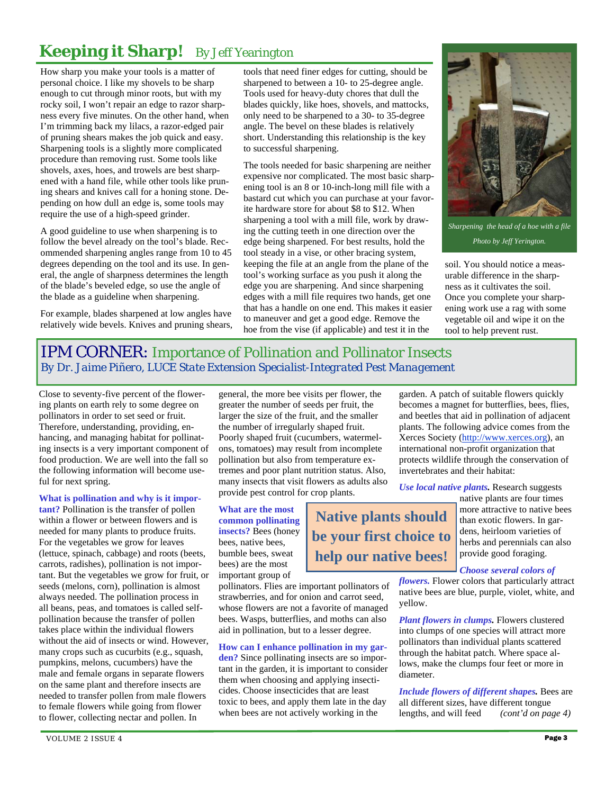# **Keeping it Sharp!** By Jeff Yearington

How sharp you make your tools is a matter of personal choice. I like my shovels to be sharp enough to cut through minor roots, but with my rocky soil, I won't repair an edge to razor sharpness every five minutes. On the other hand, when I'm trimming back my lilacs, a razor-edged pair of pruning shears makes the job quick and easy. Sharpening tools is a slightly more complicated procedure than removing rust. Some tools like shovels, axes, hoes, and trowels are best sharpened with a hand file, while other tools like pruning shears and knives call for a honing stone. Depending on how dull an edge is, some tools may require the use of a high-speed grinder.

A good guideline to use when sharpening is to follow the bevel already on the tool's blade. Recommended sharpening angles range from 10 to 45 degrees depending on the tool and its use. In general, the angle of sharpness determines the length of the blade's beveled edge, so use the angle of the blade as a guideline when sharpening.

For example, blades sharpened at low angles have relatively wide bevels. Knives and pruning shears, tools that need finer edges for cutting, should be sharpened to between a 10- to 25-degree angle. Tools used for heavy-duty chores that dull the blades quickly, like hoes, shovels, and mattocks, only need to be sharpened to a 30- to 35-degree angle. The bevel on these blades is relatively short. Understanding this relationship is the key to successful sharpening.

The tools needed for basic sharpening are neither expensive nor complicated. The most basic sharpening tool is an 8 or 10-inch-long mill file with a bastard cut which you can purchase at your favorite hardware store for about \$8 to \$12. When sharpening a tool with a mill file, work by drawing the cutting teeth in one direction over the edge being sharpened. For best results, hold the tool steady in a vise, or other bracing system, keeping the file at an angle from the plane of the tool's working surface as you push it along the edge you are sharpening. And since sharpening edges with a mill file requires two hands, get one that has a handle on one end. This makes it easier to maneuver and get a good edge. Remove the hoe from the vise (if applicable) and test it in the



*Sharpening the head of a hoe with a file Photo by Jeff Yerington.* 

soil. You should notice a measurable difference in the sharpness as it cultivates the soil. Once you complete your sharpening work use a rag with some vegetable oil and wipe it on the tool to help prevent rust.

## IPM CORNER: Importance of Pollination and Pollinator Insects *By Dr. Jaime Piñero, LUCE State Extension Specialist-Integrated Pest Management*

Close to seventy-five percent of the flowering plants on earth rely to some degree on pollinators in order to set seed or fruit. Therefore, understanding, providing, enhancing, and managing habitat for pollinating insects is a very important component of food production. We are well into the fall so the following information will become useful for next spring.

#### **What is pollination and why is it impor-**

**tant?** Pollination is the transfer of pollen within a flower or between flowers and is needed for many plants to produce fruits. For the vegetables we grow for leaves (lettuce, spinach, cabbage) and roots (beets, carrots, radishes), pollination is not important. But the vegetables we grow for fruit, or seeds (melons, corn), pollination is almost always needed. The pollination process in all beans, peas, and tomatoes is called selfpollination because the transfer of pollen takes place within the individual flowers without the aid of insects or wind. However, many crops such as cucurbits (e.g., squash, pumpkins, melons, cucumbers) have the male and female organs in separate flowers on the same plant and therefore insects are needed to transfer pollen from male flowers to female flowers while going from flower to flower, collecting nectar and pollen. In

general, the more bee visits per flower, the greater the number of seeds per fruit, the larger the size of the fruit, and the smaller the number of irregularly shaped fruit. Poorly shaped fruit (cucumbers, watermelons, tomatoes) may result from incomplete pollination but also from temperature extremes and poor plant nutrition status. Also, many insects that visit flowers as adults also provide pest control for crop plants.

> **Native plants should be your first choice to**

**help our native bees!** 

**What are the most common pollinating insects?** Bees (honey bees, native bees, bumble bees, sweat bees) are the most important group of

pollinators. Flies are important pollinators of strawberries, and for onion and carrot seed, whose flowers are not a favorite of managed bees. Wasps, butterflies, and moths can also aid in pollination, but to a lesser degree.

**How can I enhance pollination in my garden?** Since pollinating insects are so important in the garden, it is important to consider them when choosing and applying insecticides. Choose insecticides that are least toxic to bees, and apply them late in the day when bees are not actively working in the

garden. A patch of suitable flowers quickly becomes a magnet for butterflies, bees, flies, and beetles that aid in pollination of adjacent plants. The following advice comes from the Xerces Society (http://www.xerces.org), an international non-profit organization that protects wildlife through the conservation of invertebrates and their habitat:

*Use local native plants.* Research suggests

native plants are four times more attractive to native bees than exotic flowers. In gardens, heirloom varieties of herbs and perennials can also provide good foraging.

*Choose several colors of* 

*flowers.* Flower colors that particularly attract native bees are blue, purple, violet, white, and yellow.

*Plant flowers in clumps.* Flowers clustered into clumps of one species will attract more pollinators than individual plants scattered through the habitat patch. Where space allows, make the clumps four feet or more in diameter.

*Include flowers of different shapes.* Bees are all different sizes, have different tongue lengths, and will feed *(cont'd on page 4)*